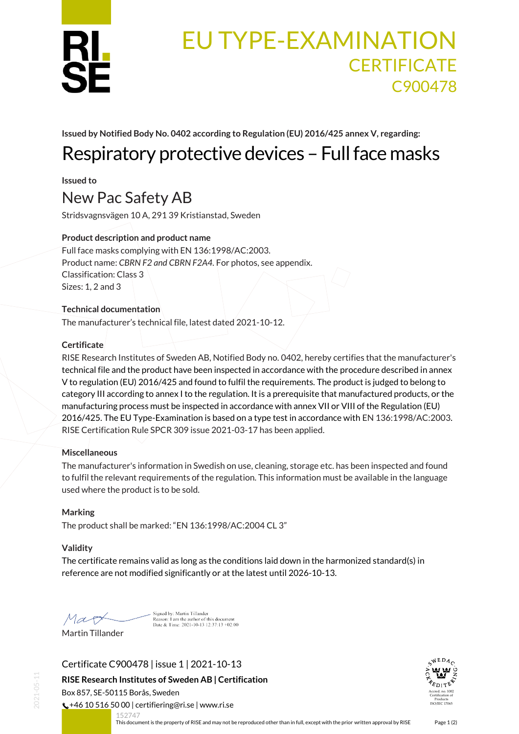

# EU TYPE-EXAMINATION **CERTIFICATE** C900478

**Issued by Notified Body No. 0402 according to Regulation (EU) 2016/425 annex V, regarding:**

# Respiratory protective devices – Full face masks

**Issued to**

## New Pac Safety AB

Stridsvagnsvägen 10 A, 291 39 Kristianstad, Sweden

## **Product description and product name**

Full face masks complying with EN 136:1998/AC:2003. Product name: *CBRN F2 and CBRN F2A4.* For photos, see appendix. Classification: Class 3 Sizes: 1, 2 and 3

### **Technical documentation**

The manufacturer's technical file, latest dated 2021-10-12.

### **Certificate**

RISE Research Institutes of Sweden AB, Notified Body no. 0402, hereby certifies that the manufacturer's technical file and the product have been inspected in accordance with the procedure described in annex V to regulation (EU) 2016/425 and found to fulfil the requirements. The product is judged to belong to category III according to annex I to the regulation. It is a prerequisite that manufactured products, or the manufacturing process must be inspected in accordance with annex VII or VIII of the Regulation (EU) 2016/425. The EU Type-Examination is based on a type test in accordance with EN 136:1998/AC:2003. RISE Certification Rule SPCR 309 issue 2021-03-17 has been applied.

#### **Miscellaneous**

The manufacturer's information in Swedish on use, cleaning, storage etc. has been inspected and found to fulfil the relevant requirements of the regulation. This information must be available in the language used where the product is to be sold.

#### **Marking**

The product shall be marked: "EN 136:1998/AC:2004 CL 3"

#### **Validity**

The certificate remains valid as long as the conditions laid down in the harmonized standard(s) in reference are not modified significantly or at the latest until 2026-10-13.

Mag Martin Tillander

Signed by: Martin Tillander<br>Reason: I am the author of this document<br>Date & Time: 2021-10-13 12:37:13 +02:00

Certificate C900478 | issue 1 | 2021-10-13

**RISE Research Institutes of Sweden AB | Certification**

Box 857, SE-50115 Borås, Sweden

152747

 $\binom{4}{5}$  +46 10 516 50 00 | certifiering@ri.se | www.ri.se